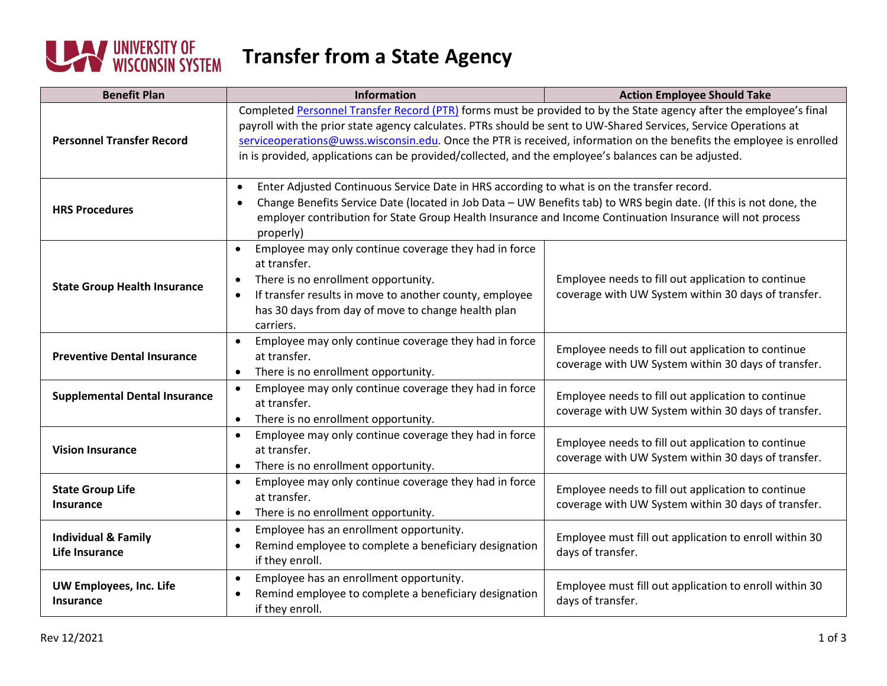

## **Transfer from a State Agency**

| <b>Benefit Plan</b>                              | <b>Information</b>                                                                                                                                                                                                                                                                                                                                                                                                                                                     | <b>Action Employee Should Take</b>                                                                        |  |
|--------------------------------------------------|------------------------------------------------------------------------------------------------------------------------------------------------------------------------------------------------------------------------------------------------------------------------------------------------------------------------------------------------------------------------------------------------------------------------------------------------------------------------|-----------------------------------------------------------------------------------------------------------|--|
| <b>Personnel Transfer Record</b>                 | Completed Personnel Transfer Record (PTR) forms must be provided to by the State agency after the employee's final<br>payroll with the prior state agency calculates. PTRs should be sent to UW-Shared Services, Service Operations at<br>serviceoperations@uwss.wisconsin.edu. Once the PTR is received, information on the benefits the employee is enrolled<br>in is provided, applications can be provided/collected, and the employee's balances can be adjusted. |                                                                                                           |  |
| <b>HRS Procedures</b>                            | Enter Adjusted Continuous Service Date in HRS according to what is on the transfer record.<br>$\bullet$<br>Change Benefits Service Date (located in Job Data - UW Benefits tab) to WRS begin date. (If this is not done, the<br>$\bullet$<br>employer contribution for State Group Health Insurance and Income Continuation Insurance will not process<br>properly)                                                                                                    |                                                                                                           |  |
| <b>State Group Health Insurance</b>              | Employee may only continue coverage they had in force<br>$\bullet$<br>at transfer.<br>There is no enrollment opportunity.<br>$\bullet$<br>If transfer results in move to another county, employee<br>$\bullet$<br>has 30 days from day of move to change health plan<br>carriers.                                                                                                                                                                                      | Employee needs to fill out application to continue<br>coverage with UW System within 30 days of transfer. |  |
| <b>Preventive Dental Insurance</b>               | Employee may only continue coverage they had in force<br>$\bullet$<br>at transfer.<br>There is no enrollment opportunity.<br>$\bullet$                                                                                                                                                                                                                                                                                                                                 | Employee needs to fill out application to continue<br>coverage with UW System within 30 days of transfer. |  |
| <b>Supplemental Dental Insurance</b>             | Employee may only continue coverage they had in force<br>$\bullet$<br>at transfer.<br>There is no enrollment opportunity.<br>$\bullet$                                                                                                                                                                                                                                                                                                                                 | Employee needs to fill out application to continue<br>coverage with UW System within 30 days of transfer. |  |
| <b>Vision Insurance</b>                          | Employee may only continue coverage they had in force<br>$\bullet$<br>at transfer.<br>There is no enrollment opportunity.                                                                                                                                                                                                                                                                                                                                              | Employee needs to fill out application to continue<br>coverage with UW System within 30 days of transfer. |  |
| <b>State Group Life</b><br><b>Insurance</b>      | Employee may only continue coverage they had in force<br>$\bullet$<br>at transfer.<br>There is no enrollment opportunity.<br>$\bullet$                                                                                                                                                                                                                                                                                                                                 | Employee needs to fill out application to continue<br>coverage with UW System within 30 days of transfer. |  |
| <b>Individual &amp; Family</b><br>Life Insurance | Employee has an enrollment opportunity.<br>$\bullet$<br>Remind employee to complete a beneficiary designation<br>$\bullet$<br>if they enroll.                                                                                                                                                                                                                                                                                                                          | Employee must fill out application to enroll within 30<br>days of transfer.                               |  |
| UW Employees, Inc. Life<br>Insurance             | Employee has an enrollment opportunity.<br>$\bullet$<br>Remind employee to complete a beneficiary designation<br>if they enroll.                                                                                                                                                                                                                                                                                                                                       | Employee must fill out application to enroll within 30<br>days of transfer.                               |  |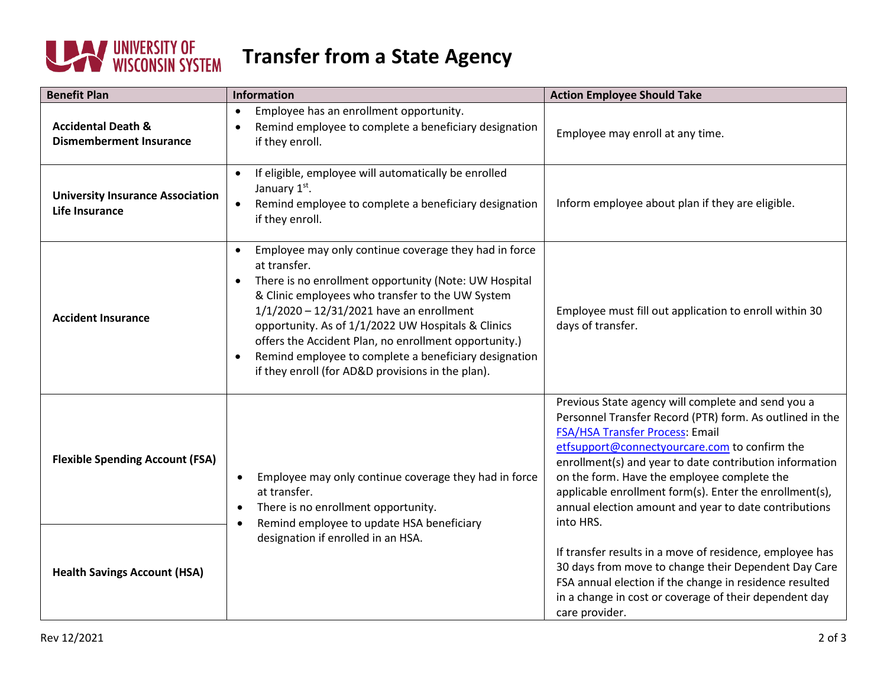

## **Transfer from a State Agency**

| <b>Benefit Plan</b>                                             | Information                                                                                                                                                                                                                                                                                                                                                                                                                                                                                          | <b>Action Employee Should Take</b>                                                                                                                                                                                                                                                                                                                                                                                                            |
|-----------------------------------------------------------------|------------------------------------------------------------------------------------------------------------------------------------------------------------------------------------------------------------------------------------------------------------------------------------------------------------------------------------------------------------------------------------------------------------------------------------------------------------------------------------------------------|-----------------------------------------------------------------------------------------------------------------------------------------------------------------------------------------------------------------------------------------------------------------------------------------------------------------------------------------------------------------------------------------------------------------------------------------------|
| <b>Accidental Death &amp;</b><br><b>Dismemberment Insurance</b> | Employee has an enrollment opportunity.<br>$\bullet$<br>Remind employee to complete a beneficiary designation<br>if they enroll.                                                                                                                                                                                                                                                                                                                                                                     | Employee may enroll at any time.                                                                                                                                                                                                                                                                                                                                                                                                              |
| <b>University Insurance Association</b><br>Life Insurance       | If eligible, employee will automatically be enrolled<br>January 1st.<br>Remind employee to complete a beneficiary designation<br>$\bullet$<br>if they enroll.                                                                                                                                                                                                                                                                                                                                        | Inform employee about plan if they are eligible.                                                                                                                                                                                                                                                                                                                                                                                              |
| <b>Accident Insurance</b>                                       | Employee may only continue coverage they had in force<br>$\bullet$<br>at transfer.<br>There is no enrollment opportunity (Note: UW Hospital<br>$\bullet$<br>& Clinic employees who transfer to the UW System<br>$1/1/2020 - 12/31/2021$ have an enrollment<br>opportunity. As of 1/1/2022 UW Hospitals & Clinics<br>offers the Accident Plan, no enrollment opportunity.)<br>Remind employee to complete a beneficiary designation<br>$\bullet$<br>if they enroll (for AD&D provisions in the plan). | Employee must fill out application to enroll within 30<br>days of transfer.                                                                                                                                                                                                                                                                                                                                                                   |
| <b>Flexible Spending Account (FSA)</b>                          | Employee may only continue coverage they had in force<br>$\bullet$<br>at transfer.<br>There is no enrollment opportunity.<br>$\bullet$<br>Remind employee to update HSA beneficiary<br>designation if enrolled in an HSA.                                                                                                                                                                                                                                                                            | Previous State agency will complete and send you a<br>Personnel Transfer Record (PTR) form. As outlined in the<br>FSA/HSA Transfer Process: Email<br>etfsupport@connectyourcare.com to confirm the<br>enrollment(s) and year to date contribution information<br>on the form. Have the employee complete the<br>applicable enrollment form(s). Enter the enrollment(s),<br>annual election amount and year to date contributions<br>into HRS. |
| <b>Health Savings Account (HSA)</b>                             |                                                                                                                                                                                                                                                                                                                                                                                                                                                                                                      | If transfer results in a move of residence, employee has<br>30 days from move to change their Dependent Day Care<br>FSA annual election if the change in residence resulted<br>in a change in cost or coverage of their dependent day<br>care provider.                                                                                                                                                                                       |